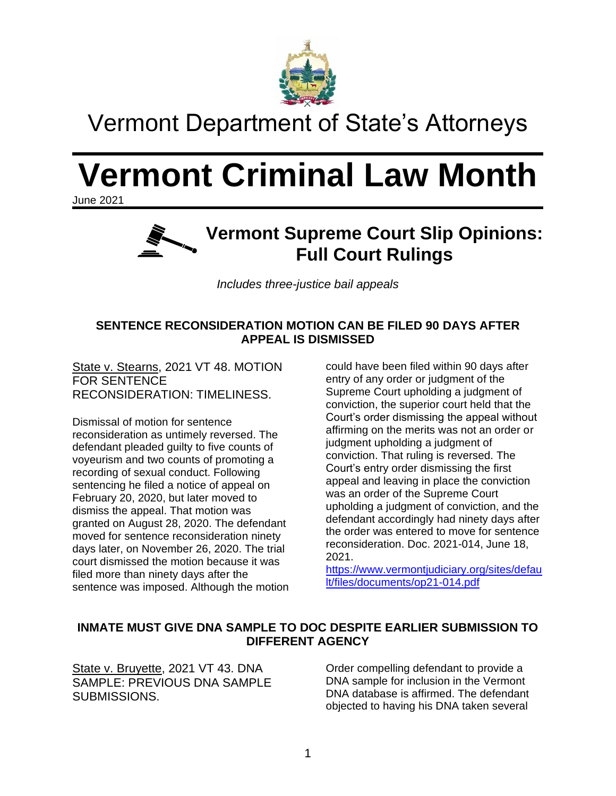

## Vermont Department of State's Attorneys

# **Vermont Criminal Law Month**

June 2021



*Includes three-justice bail appeals*

### **SENTENCE RECONSIDERATION MOTION CAN BE FILED 90 DAYS AFTER APPEAL IS DISMISSED**

State v. Stearns, 2021 VT 48. MOTION FOR SENTENCE RECONSIDERATION: TIMELINESS.

Dismissal of motion for sentence reconsideration as untimely reversed. The defendant pleaded guilty to five counts of voyeurism and two counts of promoting a recording of sexual conduct. Following sentencing he filed a notice of appeal on February 20, 2020, but later moved to dismiss the appeal. That motion was granted on August 28, 2020. The defendant moved for sentence reconsideration ninety days later, on November 26, 2020. The trial court dismissed the motion because it was filed more than ninety days after the sentence was imposed. Although the motion could have been filed within 90 days after entry of any order or judgment of the Supreme Court upholding a judgment of conviction, the superior court held that the Court's order dismissing the appeal without affirming on the merits was not an order or judgment upholding a judgment of conviction. That ruling is reversed. The Court's entry order dismissing the first appeal and leaving in place the conviction was an order of the Supreme Court upholding a judgment of conviction, and the defendant accordingly had ninety days after the order was entered to move for sentence reconsideration. Doc. 2021-014, June 18, 2021.

[https://www.vermontjudiciary.org/sites/defau](https://www.vermontjudiciary.org/sites/default/files/documents/op21-014.pdf) [lt/files/documents/op21-014.pdf](https://www.vermontjudiciary.org/sites/default/files/documents/op21-014.pdf)

### **INMATE MUST GIVE DNA SAMPLE TO DOC DESPITE EARLIER SUBMISSION TO DIFFERENT AGENCY**

State v. Bruyette, 2021 VT 43. DNA SAMPLE: PREVIOUS DNA SAMPLE SUBMISSIONS.

Order compelling defendant to provide a DNA sample for inclusion in the Vermont DNA database is affirmed. The defendant objected to having his DNA taken several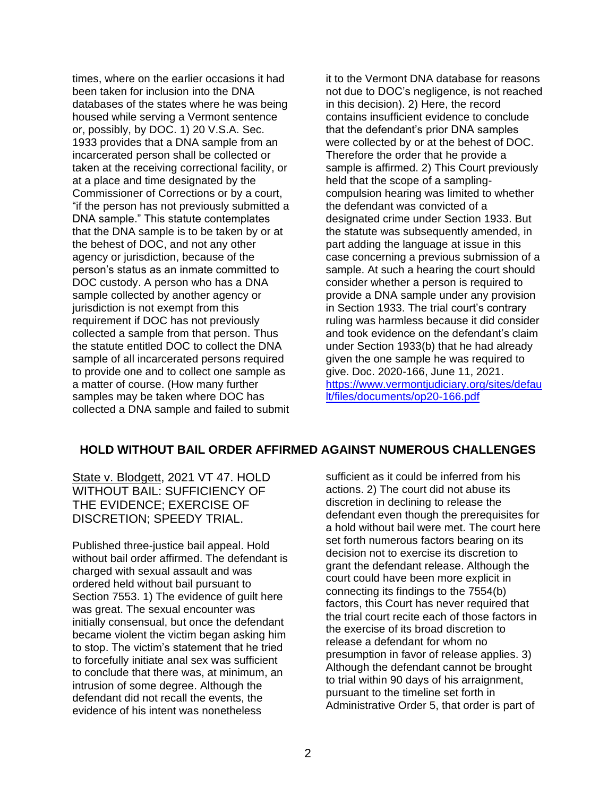times, where on the earlier occasions it had been taken for inclusion into the DNA databases of the states where he was being housed while serving a Vermont sentence or, possibly, by DOC. 1) 20 V.S.A. Sec. 1933 provides that a DNA sample from an incarcerated person shall be collected or taken at the receiving correctional facility, or at a place and time designated by the Commissioner of Corrections or by a court, "if the person has not previously submitted a DNA sample." This statute contemplates that the DNA sample is to be taken by or at the behest of DOC, and not any other agency or jurisdiction, because of the person's status as an inmate committed to DOC custody. A person who has a DNA sample collected by another agency or jurisdiction is not exempt from this requirement if DOC has not previously collected a sample from that person. Thus the statute entitled DOC to collect the DNA sample of all incarcerated persons required to provide one and to collect one sample as a matter of course. (How many further samples may be taken where DOC has collected a DNA sample and failed to submit

it to the Vermont DNA database for reasons not due to DOC's negligence, is not reached in this decision). 2) Here, the record contains insufficient evidence to conclude that the defendant's prior DNA samples were collected by or at the behest of DOC. Therefore the order that he provide a sample is affirmed. 2) This Court previously held that the scope of a samplingcompulsion hearing was limited to whether the defendant was convicted of a designated crime under Section 1933. But the statute was subsequently amended, in part adding the language at issue in this case concerning a previous submission of a sample. At such a hearing the court should consider whether a person is required to provide a DNA sample under any provision in Section 1933. The trial court's contrary ruling was harmless because it did consider and took evidence on the defendant's claim under Section 1933(b) that he had already given the one sample he was required to give. Doc. 2020-166, June 11, 2021. [https://www.vermontjudiciary.org/sites/defau](https://www.vermontjudiciary.org/sites/default/files/documents/op20-166.pdf) [lt/files/documents/op20-166.pdf](https://www.vermontjudiciary.org/sites/default/files/documents/op20-166.pdf)

### **HOLD WITHOUT BAIL ORDER AFFIRMED AGAINST NUMEROUS CHALLENGES**

State v. Blodgett, 2021 VT 47. HOLD WITHOUT BAIL: SUFFICIENCY OF THE EVIDENCE; EXERCISE OF DISCRETION; SPEEDY TRIAL.

Published three-justice bail appeal. Hold without bail order affirmed. The defendant is charged with sexual assault and was ordered held without bail pursuant to Section 7553. 1) The evidence of guilt here was great. The sexual encounter was initially consensual, but once the defendant became violent the victim began asking him to stop. The victim's statement that he tried to forcefully initiate anal sex was sufficient to conclude that there was, at minimum, an intrusion of some degree. Although the defendant did not recall the events, the evidence of his intent was nonetheless

sufficient as it could be inferred from his actions. 2) The court did not abuse its discretion in declining to release the defendant even though the prerequisites for a hold without bail were met. The court here set forth numerous factors bearing on its decision not to exercise its discretion to grant the defendant release. Although the court could have been more explicit in connecting its findings to the 7554(b) factors, this Court has never required that the trial court recite each of those factors in the exercise of its broad discretion to release a defendant for whom no presumption in favor of release applies. 3) Although the defendant cannot be brought to trial within 90 days of his arraignment, pursuant to the timeline set forth in Administrative Order 5, that order is part of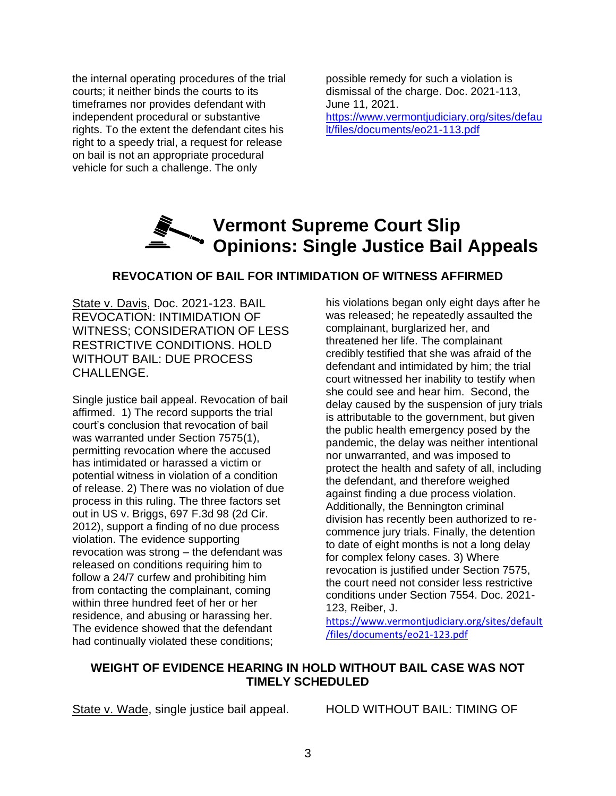the internal operating procedures of the trial courts; it neither binds the courts to its timeframes nor provides defendant with independent procedural or substantive rights. To the extent the defendant cites his right to a speedy trial, a request for release on bail is not an appropriate procedural vehicle for such a challenge. The only

possible remedy for such a violation is dismissal of the charge. Doc. 2021-113, June 11, 2021. [https://www.vermontjudiciary.org/sites/defau](https://www.vermontjudiciary.org/sites/default/files/documents/eo21-113.pdf) [lt/files/documents/eo21-113.pdf](https://www.vermontjudiciary.org/sites/default/files/documents/eo21-113.pdf)

### **Vermont Supreme Court Slip Vermont Supreme CELE**<br>Copinions: Single Justice Bail Appeals

### **REVOCATION OF BAIL FOR INTIMIDATION OF WITNESS AFFIRMED**

State v. Davis, Doc. 2021-123. BAIL REVOCATION: INTIMIDATION OF WITNESS; CONSIDERATION OF LESS RESTRICTIVE CONDITIONS. HOLD WITHOUT BAIL: DUE PROCESS CHALLENGE.

Single justice bail appeal. Revocation of bail affirmed. 1) The record supports the trial court's conclusion that revocation of bail was warranted under Section 7575(1), permitting revocation where the accused has intimidated or harassed a victim or potential witness in violation of a condition of release. 2) There was no violation of due process in this ruling. The three factors set out in US v. Briggs, 697 F.3d 98 (2d Cir. 2012), support a finding of no due process violation. The evidence supporting revocation was strong – the defendant was released on conditions requiring him to follow a 24/7 curfew and prohibiting him from contacting the complainant, coming within three hundred feet of her or her residence, and abusing or harassing her. The evidence showed that the defendant had continually violated these conditions;

his violations began only eight days after he was released; he repeatedly assaulted the complainant, burglarized her, and threatened her life. The complainant credibly testified that she was afraid of the defendant and intimidated by him; the trial court witnessed her inability to testify when she could see and hear him. Second, the delay caused by the suspension of jury trials is attributable to the government, but given the public health emergency posed by the pandemic, the delay was neither intentional nor unwarranted, and was imposed to protect the health and safety of all, including the defendant, and therefore weighed against finding a due process violation. Additionally, the Bennington criminal division has recently been authorized to recommence jury trials. Finally, the detention to date of eight months is not a long delay for complex felony cases. 3) Where revocation is justified under Section 7575, the court need not consider less restrictive conditions under Section 7554. Doc. 2021- 123, Reiber, J.

[https://www.vermontjudiciary.org/sites/default](https://www.vermontjudiciary.org/sites/default/files/documents/eo21-123.pdf) [/files/documents/eo21-123.pdf](https://www.vermontjudiciary.org/sites/default/files/documents/eo21-123.pdf)

### **WEIGHT OF EVIDENCE HEARING IN HOLD WITHOUT BAIL CASE WAS NOT TIMELY SCHEDULED**

State v. Wade, single justice bail appeal. HOLD WITHOUT BAIL: TIMING OF